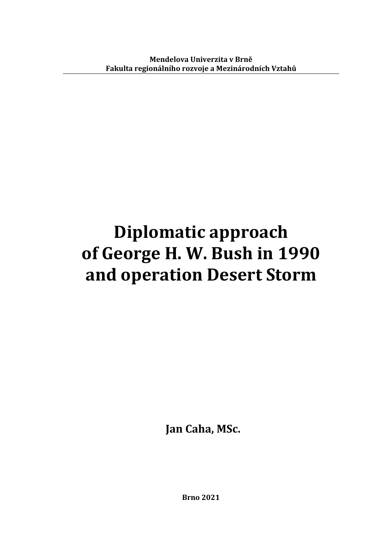# **Diplomatic approach of George H. W. Bush in 1990 and operation Desert Storm**

**Jan Caha, MSc.**

**Brno 2021**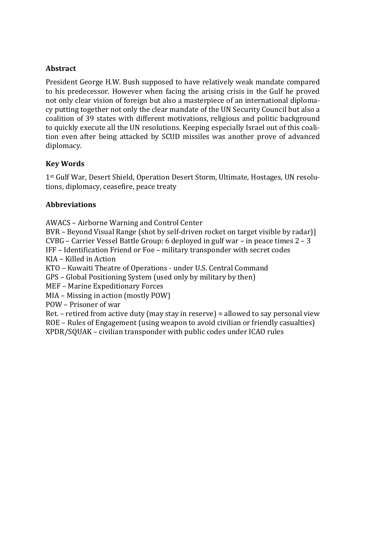#### **Abstract**

President George H.W. Bush supposed to have relatively weak mandate compared to his predecessor. However when facing the arising crisis in the Gulf he proved not only clear vision of foreign but also a masterpiece of an international diplomacy putting together not only the clear mandate of the UN Security Council but also a coalition of 39 states with different motivations, religious and politic background to quickly execute all the UN resolutions. Keeping especially Israel out of this coalition even after being attacked by SCUD missiles was another prove of advanced diplomacy.

#### **Key Words**

1st Gulf War, Desert Shield, Operation Desert Storm, Ultimate, Hostages, UN resolutions, diplomacy, ceasefire, peace treaty

#### **Abbreviations**

AWACS – Airborne Warning and Control Center

BVR – Beyond Visual Range (shot by self-driven rocket on target visible by radar)] CVBG – Carrier Vessel Battle Group: 6 deployed in gulf war – in peace times 2 – 3

IFF – Identification Friend or Foe – military transponder with secret codes

KIA – Killed in Action

KTO – Kuwaiti Theatre of Operations - under U.S. Central Command

GPS – Global Positioning System (used only by military by then)

MEF – Marine Expeditionary Forces

MIA – Missing in action (mostly POW)

POW – Prisoner of war

Ret. – retired from active duty (may stay in reserve) = allowed to say personal view ROE – Rules of Engagement (using weapon to avoid civilian or friendly casualties)

XPDR/SQUAK – civilian transponder with public codes under ICAO rules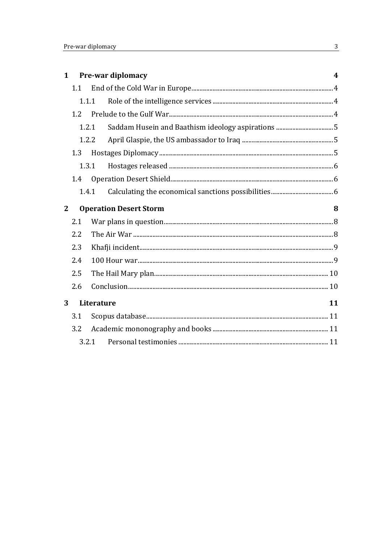| $\mathbf{1}$ | Pre-war diplomacy             |            |  | 4  |
|--------------|-------------------------------|------------|--|----|
|              | 1.1                           |            |  |    |
|              | 1.1.1                         |            |  |    |
|              | 1.2<br>1.2.1                  |            |  |    |
|              |                               |            |  |    |
|              | 1.2.2                         |            |  |    |
|              | 1.3                           |            |  |    |
|              | 1.3.1                         |            |  |    |
|              | 1.4                           |            |  |    |
|              | 1.4.1                         |            |  |    |
| $\mathbf{2}$ | <b>Operation Desert Storm</b> |            |  | 8  |
|              | 2.1                           |            |  |    |
|              | 2.2                           |            |  |    |
|              | 2.3                           |            |  |    |
|              | 2.4                           |            |  |    |
|              | 2.5                           |            |  |    |
|              | 2.6                           |            |  |    |
| 3            |                               | Literature |  | 11 |
|              | 3.1                           |            |  |    |
|              | 3.2                           |            |  |    |
| 3.2.1        |                               |            |  |    |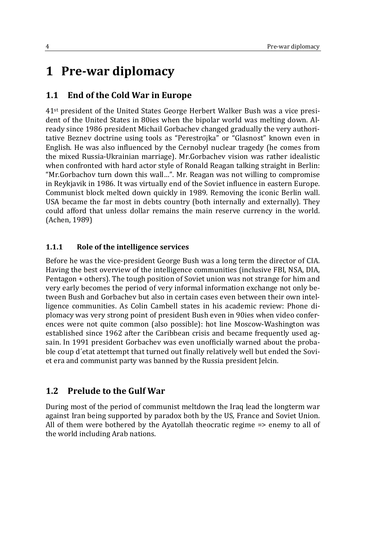# **1 Pre-war diplomacy**

### **1.1 End of the Cold War in Europe**

41st president of the United States George Herbert Walker Bush was a vice president of the United States in 80ies when the bipolar world was melting down. Already since 1986 president Michail Gorbachev changed gradually the very authoritative Beznev doctrine using tools as "Perestrojka" or "Glasnost" known even in English. He was also influenced by the Cernobyl nuclear tragedy (he comes from the mixed Russia-Ukrainian marriage). Mr.Gorbachev vision was rather idealistic when confronted with hard actor style of Ronald Reagan talking straight in Berlin: "Mr.Gorbachov turn down this wall…". Mr. Reagan was not willing to compromise in Reykjavik in 1986. It was virtually end of the Soviet influence in eastern Europe. Communist block melted down quickly in 1989. Removing the iconic Berlin wall. USA became the far most in debts country (both internally and externally). They could afford that unless dollar remains the main reserve currency in the world. (Achen, 1989)

#### **1.1.1 Role of the intelligence services**

Before he was the vice-president George Bush was a long term the director of CIA. Having the best overview of the intelligence communities (inclusive FBI, NSA, DIA, Pentagon + others). The tough position of Soviet union was not strange for him and very early becomes the period of very informal information exchange not only between Bush and Gorbachev but also in certain cases even between their own intelligence communities. As Colin Cambell states in his academic review: Phone diplomacy was very strong point of president Bush even in 90ies when video conferences were not quite common (also possible): hot line Moscow-Washington was established since 1962 after the Caribbean crisis and became frequently used agsain. In 1991 president Gorbachev was even unofficially warned about the probable coup d´etat atettempt that turned out finally relatively well but ended the Soviet era and communist party was banned by the Russia president Jelcin.

#### **1.2 Prelude to the Gulf War**

During most of the period of communist meltdown the Iraq lead the longterm war against Iran being supported by paradox both by the US, France and Soviet Union. All of them were bothered by the Ayatollah theocratic regime => enemy to all of the world including Arab nations.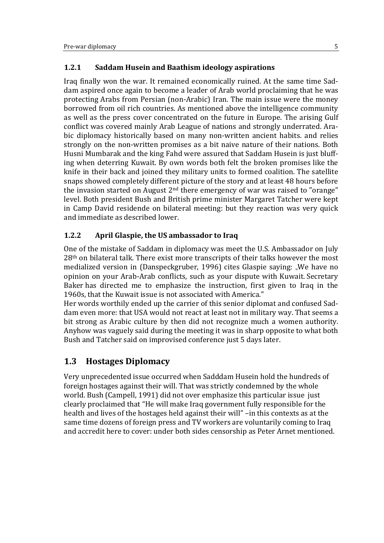#### **1.2.1 Saddam Husein and Baathism ideology aspirations**

Iraq finally won the war. It remained economically ruined. At the same time Saddam aspired once again to become a leader of Arab world proclaiming that he was protecting Arabs from Persian (non-Arabic) Iran. The main issue were the money borrowed from oil rich countries. As mentioned above the intelligence community as well as the press cover concentrated on the future in Europe. The arising Gulf conflict was covered mainly Arab League of nations and strongly underrated. Arabic diplomacy historically based on many non-written ancient habits. and relies strongly on the non-written promises as a bit naive nature of their nations. Both Husni Mumbarak and the king Fahd were assured that Saddam Husein is just bluffing when deterring Kuwait. By own words both felt the broken promises like the knife in their back and joined they military units to formed coalition. The satellite snaps showed completely different picture of the story and at least 48 hours before the invasion started on August  $2<sup>nd</sup>$  there emergency of war was raised to "orange" level. Both president Bush and British prime minister Margaret Tatcher were kept in Camp David residende on bilateral meeting: but they reaction was very quick and immediate as described lower.

#### **1.2.2 April Glaspie, the US ambassador to Iraq**

One of the mistake of Saddam in diplomacy was meet the U.S. Ambassador on July 28th on bilateral talk. There exist more transcripts of their talks however the most medialized version in (Danspeckgruber, 1996) cites Glaspie saying: "We have no opinion on your Arab-Arab conflicts, such as your dispute with Kuwait. [Secretary](https://en.wikipedia.org/wiki/James_Baker)  [Baker](https://en.wikipedia.org/wiki/James_Baker) has directed me to emphasize the instruction, first given to Iraq in the 1960s, that the Kuwait issue is not associated with America."

Her words worthily ended up the carrier of this senior diplomat and confused Saddam even more: that USA would not react at least not in military way. That seems a bit strong as Arabic culture by then did not recognize much a women authority. Anyhow was vaguely said during the meeting it was in sharp opposite to what both Bush and Tatcher said on improvised conference just 5 days later.

## **1.3 Hostages Diplomacy**

Very unprecedented issue occurred when Sadddam Husein hold the hundreds of foreign hostages against their will. That was strictly condemned by the whole world. Bush (Campell, 1991) did not over emphasize this particular issue just clearly proclaimed that "He will make Iraq government fully responsible for the health and lives of the hostages held against their will" –in this contexts as at the same time dozens of foreign press and TV workers are voluntarily coming to Iraq and accredit here to cover: under both sides censorship as Peter Arnet mentioned.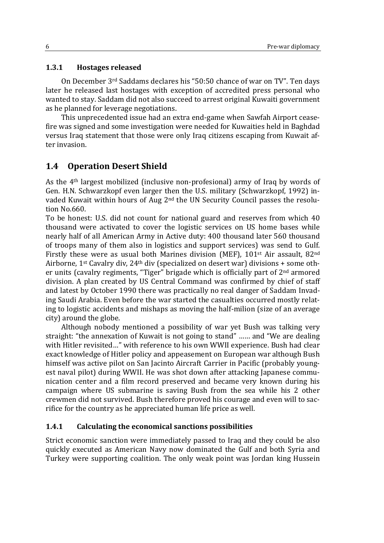#### **1.3.1 Hostages released**

On December 3rd Saddams declares his "50:50 chance of war on TV". Ten days later he released last hostages with exception of accredited press personal who wanted to stay. Saddam did not also succeed to arrest original Kuwaiti government as he planned for leverage negotiations.

This unprecedented issue had an extra end-game when Sawfah Airport ceasefire was signed and some investigation were needed for Kuwaities held in Baghdad versus Iraq statement that those were only Iraq citizens escaping from Kuwait after invasion.

### **1.4 Operation Desert Shield**

As the 4th largest mobilized (inclusive non-profesional) army of Iraq by words of Gen. H.N. Schwarzkopf even larger then the U.S. military (Schwarzkopf, 1992) invaded Kuwait within hours of Aug 2nd the UN Security Council passes the resolution No.660.

To be honest: U.S. did not count for national guard and reserves from which 40 thousand were activated to cover the logistic services on US home bases while nearly half of all American Army in Active duty: 400 thousand later 560 thousand of troops many of them also in logistics and support services) was send to Gulf. Firstly these were as usual both Marines division (MEF), 101st Air assault, 82nd Airborne, 1st Cavalry div, 24th div (specialized on desert war) divisions + some other units (cavalry regiments, "Tiger" brigade which is officially part of 2nd armored division. A plan created by US Central Command was confirmed by chief of staff and latest by October 1990 there was practically no real danger of Saddam Invading Saudi Arabia. Even before the war started the casualties occurred mostly relating to logistic accidents and mishaps as moving the half-milion (size of an average city) around the globe.

Although nobody mentioned a possibility of war yet Bush was talking very straight: "the annexation of Kuwait is not going to stand" …… and "We are dealing with Hitler revisited…" with reference to his own WWII experience. Bush had clear exact knowledge of Hitler policy and appeasement on European war although Bush himself was active pilot on San Jacinto Aircraft Carrier in Pacific (probably youngest naval pilot) during WWII. He was shot down after attacking Japanese communication center and a film record preserved and became very known during his campaign where US submarine is saving Bush from the sea while his 2 other crewmen did not survived. Bush therefore proved his courage and even will to sacrifice for the country as he appreciated human life price as well.

#### **1.4.1 Calculating the economical sanctions possibilities**

Strict economic sanction were immediately passed to Iraq and they could be also quickly executed as American Navy now dominated the Gulf and both Syria and Turkey were supporting coalition. The only weak point was Jordan king Hussein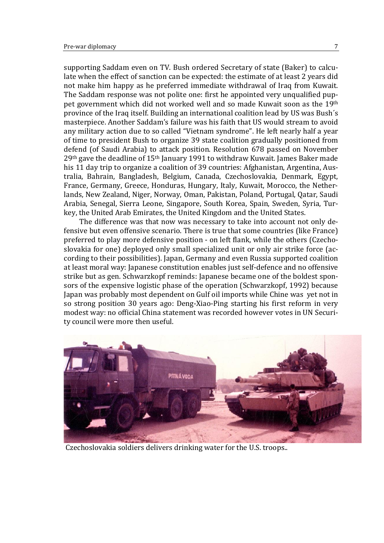supporting Saddam even on TV. Bush ordered Secretary of state (Baker) to calculate when the effect of sanction can be expected: the estimate of at least 2 years did not make him happy as he preferred immediate withdrawal of Iraq from Kuwait. The Saddam response was not polite one: first he appointed very unqualified puppet government which did not worked well and so made Kuwait soon as the 19th province of the Iraq itself. Building an international coalition lead by US was Bush´s masterpiece. Another Saddam's failure was his faith that US would stream to avoid any military action due to so called "Vietnam syndrome". He left nearly half a year of time to president Bush to organize 39 state coalition gradually positioned from defend (of Saudi Arabia) to attack position. Resolution 678 passed on November 29<sup>th</sup> gave the deadline of 15<sup>th</sup> January 1991 to withdraw Kuwait. James Baker made his 11 day trip to organize a coalition of 39 countries: Afghanistan, Argentina, Australia, Bahrain, Bangladesh, Belgium, Canada, Czechoslovakia, Denmark, Egypt, France, Germany, Greece, Honduras, Hungary, Italy, Kuwait, Morocco, the Netherlands, New Zealand, Niger, Norway, Oman, Pakistan, Poland, Portugal, Qatar, Saudi Arabia, Senegal, Sierra Leone, Singapore, South Korea, Spain, Sweden, Syria, Turkey, the United Arab Emirates, the United Kingdom and the United States.

The difference was that now was necessary to take into account not only defensive but even offensive scenario. There is true that some countries (like France) preferred to play more defensive position - on left flank, while the others (Czechoslovakia for one) deployed only small specialized unit or only air strike force (according to their possibilities). Japan, Germany and even Russia supported coalition at least moral way: Japanese constitution enables just self-defence and no offensive strike but as gen. Schwarzkopf reminds: Japanese became one of the boldest sponsors of the expensive logistic phase of the operation (Schwarzkopf, 1992) because Japan was probably most dependent on Gulf oil imports while Chine was yet not in so strong position 30 years ago: Deng-Xiao-Ping starting his first reform in very modest way: no official China statement was recorded however votes in UN Security council were more then useful.



Czechoslovakia soldiers delivers drinking water for the U.S. troops..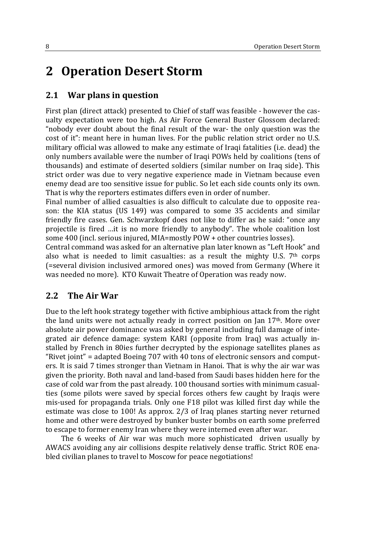# **2 Operation Desert Storm**

### **2.1 War plans in question**

First plan (direct attack) presented to Chief of staff was feasible - however the casualty expectation were too high. As Air Force General Buster Glossom declared: "nobody ever doubt about the final result of the war- the only question was the cost of it": meant here in human lives. For the public relation strict order no U.S. military official was allowed to make any estimate of Iraqi fatalities (i.e. dead) the only numbers available were the number of Iraqi POWs held by coalitions (tens of thousands) and estimate of deserted soldiers (similar number on Iraq side). This strict order was due to very negative experience made in Vietnam because even enemy dead are too sensitive issue for public. So let each side counts only its own. That is why the reporters estimates differs even in order of number.

Final number of allied casualties is also difficult to calculate due to opposite reason: the KIA status (US 149) was compared to some 35 accidents and similar friendly fire cases. Gen. Schwarzkopf does not like to differ as he said: "once any projectile is fired …it is no more friendly to anybody". The whole coalition lost some 400 (incl. serious injured, MIA=mostly POW + other countries losses).

Central command was asked for an alternative plan later known as "Left Hook" and also what is needed to limit casualties: as a result the mighty U.S.  $7<sup>th</sup>$  corps (=several division inclusived armored ones) was moved from Germany (Where it was needed no more). KTO Kuwait Theatre of Operation was ready now.

#### **2.2 The Air War**

Due to the left hook strategy together with fictive ambiphious attack from the right the land units were not actually ready in correct position on Jan  $17<sup>th</sup>$ . More over absolute air power dominance was asked by general including full damage of integrated air defence damage: system KARI (opposite from Iraq) was actually installed by French in 80ies further decrypted by the espionage satellites planes as "Rivet joint" = adapted Boeing 707 with 40 tons of electronic sensors and computers. It is said 7 times stronger than Vietnam in Hanoi. That is why the air war was given the priority. Both naval and land-based from Saudi bases hidden here for the case of cold war from the past already. 100 thousand sorties with minimum casualties (some pilots were saved by special forces others few caught by Iraqis were mis-used for propaganda trials. Only one F18 pilot was killed first day while the estimate was close to 100! As approx. 2/3 of Iraq planes starting never returned home and other were destroyed by bunker buster bombs on earth some preferred to escape to former enemy Iran where they were interned even after war.

The 6 weeks of Air war was much more sophisticated driven usually by AWACS avoiding any air collisions despite relatively dense traffic. Strict ROE enabled civilian planes to travel to Moscow for peace negotiations!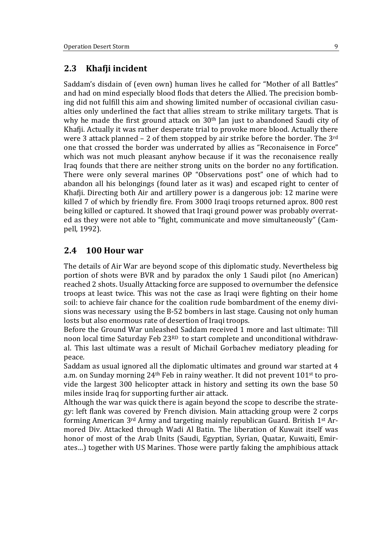#### **2.3 Khafji incident**

Saddam's disdain of (even own) human lives he called for "Mother of all Battles" and had on mind especially blood flods that deters the Allied. The precision bombing did not fulfill this aim and showing limited number of occasional civilian casualties only underlined the fact that allies stream to strike military targets. That is why he made the first ground attack on 30<sup>th</sup> Jan just to abandoned Saudi city of Khafji. Actually it was rather desperate trial to provoke more blood. Actually there were 3 attack planned – 2 of them stopped by air strike before the border. The 3rd one that crossed the border was underrated by allies as "Reconaisence in Force" which was not much pleasant anyhow because if it was the reconaisence really Iraq founds that there are neither strong units on the border no any fortification. There were only several marines OP "Observations post" one of which had to abandon all his belongings (found later as it was) and escaped right to center of Khafji. Directing both Air and artillery power is a dangerous job: 12 marine were killed 7 of which by friendly fire. From 3000 Iraqi troops returned aprox. 800 rest being killed or captured. It showed that Iraqi ground power was probably overrated as they were not able to "fight, communicate and move simultaneously" (Campell, 1992).

#### **2.4 100 Hour war**

The details of Air War are beyond scope of this diplomatic study. Nevertheless big portion of shots were BVR and by paradox the only 1 Saudi pilot (no American) reached 2 shots. Usually Attacking force are supposed to overnumber the defensice troops at least twice. This was not the case as Iraqi were fighting on their home soil: to achieve fair chance for the coalition rude bombardment of the enemy divisions was necessary using the B-52 bombers in last stage. Causing not only human losts but also enormous rate of desertion of Iraqi troops.

Before the Ground War unleashed Saddam received 1 more and last ultimate: Till noon local time Saturday Feb 23RD to start complete and unconditional withdrawal. This last ultimate was a result of Michail Gorbachev mediatory pleading for peace.

Saddam as usual ignored all the diplomatic ultimates and ground war started at 4 a.m. on Sunday morning 24th Feb in rainy weather. It did not prevent 101st to provide the largest 300 helicopter attack in history and setting its own the base 50 miles inside Iraq for supporting further air attack.

Although the war was quick there is again beyond the scope to describe the strategy: left flank was covered by French division. Main attacking group were 2 corps forming American 3rd Army and targeting mainly republican Guard. British 1st Armored Div. Attacked through Wadi Al Batin. The liberation of Kuwait itself was honor of most of the Arab Units (Saudi, Egyptian, Syrian, Quatar, Kuwaiti, Emirates…) together with US Marines. Those were partly faking the amphibious attack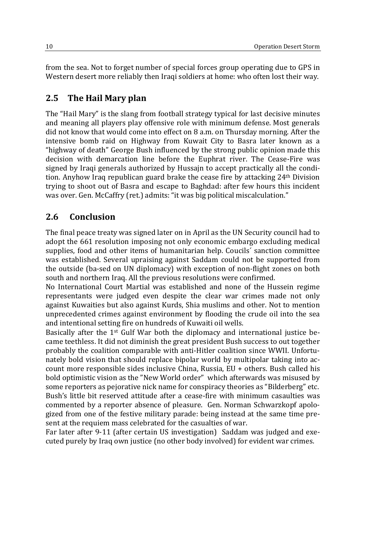from the sea. Not to forget number of special forces group operating due to GPS in Western desert more reliably then Iraqi soldiers at home: who often lost their way.

#### **2.5 The Hail Mary plan**

The "Hail Mary" is the slang from football strategy typical for last decisive minutes and meaning all players play offensive role with minimum defense. Most generals did not know that would come into effect on 8 a.m. on Thursday morning. After the intensive bomb raid on Highway from Kuwait City to Basra later known as a "highway of death" George Bush influenced by the strong public opinion made this decision with demarcation line before the Euphrat river. The Cease-Fire was signed by Iraqi generals authorized by Hussajn to accept practically all the condition. Anyhow Iraq republican guard brake the cease fire by attacking 24th Division trying to shoot out of Basra and escape to Baghdad: after few hours this incident was over. Gen. McCaffry (ret.) admits: "it was big political miscalculation."

#### **2.6 Conclusion**

The final peace treaty was signed later on in April as the UN Security council had to adopt the 661 resolution imposing not only economic embargo excluding medical supplies, food and other items of humanitarian help. Coucils´ sanction committee was established. Several upraising against Saddam could not be supported from the outside (ba-sed on UN diplomacy) with exception of non-flight zones on both south and northern Iraq. All the previous resolutions were confirmed.

No International Court Martial was established and none of the Hussein regime representants were judged even despite the clear war crimes made not only against Kuwaities but also against Kurds, Shia muslims and other. Not to mention unprecedented crimes against environment by flooding the crude oil into the sea and intentional setting fire on hundreds of Kuwaiti oil wells.

Basically after the 1<sup>st</sup> Gulf War both the diplomacy and international justice became teethless. It did not diminish the great president Bush success to out together probably the coalition comparable with anti-Hitler coalition since WWII. Unfortunately bold vision that should replace bipolar world by multipolar taking into account more responsible sides inclusive China, Russia, EU + others. Bush called his bold optimistic vision as the "New World order" which afterwards was misused by some reporters as pejorative nick name for conspiracy theories as "Bilderberg" etc. Bush's little bit reserved attitude after a cease-fire with minimum casaulties was commented by a reporter absence of pleasure. Gen. Norman Schwarzkopf apologized from one of the festive military parade: being instead at the same time present at the requiem mass celebrated for the casualties of war.

Far later after 9-11 (after certain US investigation) Saddam was judged and executed purely by Iraq own justice (no other body involved) for evident war crimes.